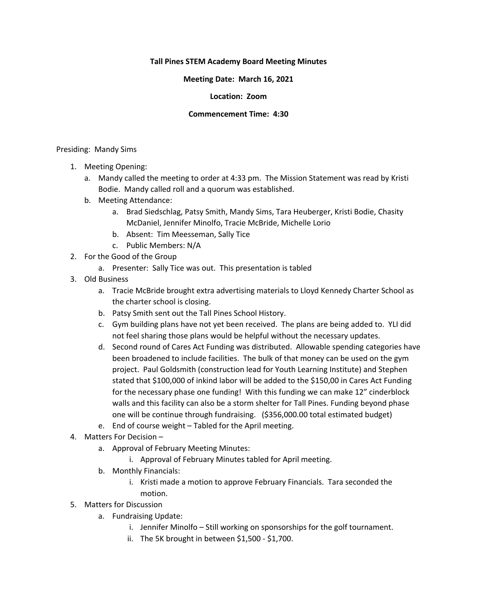# **Tall Pines STEM Academy Board Meeting Minutes**

# **Meeting Date: March 16, 2021**

# **Location: Zoom**

### **Commencement Time: 4:30**

### Presiding: Mandy Sims

- 1. Meeting Opening:
	- a. Mandy called the meeting to order at 4:33 pm. The Mission Statement was read by Kristi Bodie. Mandy called roll and a quorum was established.
	- b. Meeting Attendance:
		- a. Brad Siedschlag, Patsy Smith, Mandy Sims, Tara Heuberger, Kristi Bodie, Chasity McDaniel, Jennifer Minolfo, Tracie McBride, Michelle Lorio
		- b. Absent: Tim Meesseman, Sally Tice
		- c. Public Members: N/A
- 2. For the Good of the Group
	- a. Presenter: Sally Tice was out. This presentation is tabled
- 3. Old Business
	- a. Tracie McBride brought extra advertising materials to Lloyd Kennedy Charter School as the charter school is closing.
	- b. Patsy Smith sent out the Tall Pines School History.
	- c. Gym building plans have not yet been received. The plans are being added to. YLI did not feel sharing those plans would be helpful without the necessary updates.
	- d. Second round of Cares Act Funding was distributed. Allowable spending categories have been broadened to include facilities. The bulk of that money can be used on the gym project. Paul Goldsmith (construction lead for Youth Learning Institute) and Stephen stated that \$100,000 of inkind labor will be added to the \$150,00 in Cares Act Funding for the necessary phase one funding! With this funding we can make 12" cinderblock walls and this facility can also be a storm shelter for Tall Pines. Funding beyond phase one will be continue through fundraising. (\$356,000.00 total estimated budget)
	- e. End of course weight Tabled for the April meeting.
- 4. Matters For Decision
	- a. Approval of February Meeting Minutes:
		- i. Approval of February Minutes tabled for April meeting.
	- b. Monthly Financials:
		- i. Kristi made a motion to approve February Financials. Tara seconded the motion.
- 5. Matters for Discussion
	- a. Fundraising Update:
		- i. Jennifer Minolfo Still working on sponsorships for the golf tournament.
		- ii. The 5K brought in between \$1,500 \$1,700.